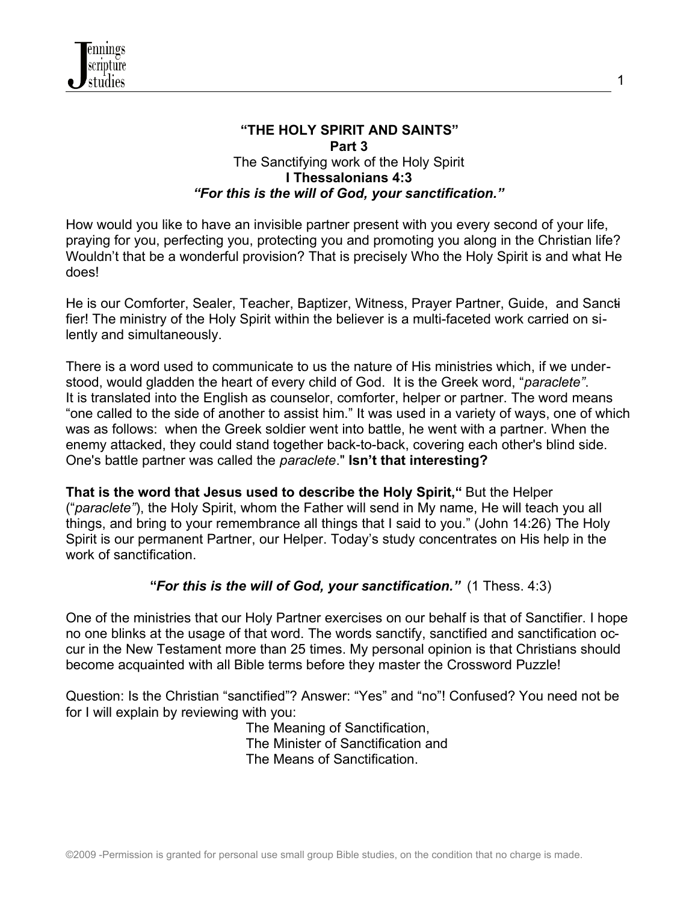

#### **"THE HOLY SPIRIT AND SAINTS" Part 3** The Sanctifying work of the Holy Spirit **I Thessalonians 4:3** *"For this is the will of God, your sanctification."*

1

How would you like to have an invisible partner present with you every second of your life, praying for you, perfecting you, protecting you and promoting you along in the Christian life? Wouldn't that be a wonderful provision? That is precisely Who the Holy Spirit is and what He does!

He is our Comforter, Sealer, Teacher, Baptizer, Witness, Prayer Partner, Guide, and Sanctifier! The ministry of the Holy Spirit within the believer is a multi-faceted work carried on silently and simultaneously.

There is a word used to communicate to us the nature of His ministries which, if we understood, would gladden the heart of every child of God. It is the Greek word, "*paraclete"*. It is translated into the English as counselor, comforter, helper or partner. The word means "one called to the side of another to assist him." It was used in a variety of ways, one of which was as follows: when the Greek soldier went into battle, he went with a partner. When the enemy attacked, they could stand together back-to-back, covering each other's blind side. One's battle partner was called the *paraclete*." **Isn't that interesting?** 

**That is the word that Jesus used to describe the Holy Spirit,"** But the Helper ("*paraclete"*), the Holy Spirit, whom the Father will send in My name, He will teach you all things, and bring to your remembrance all things that I said to you." (John 14:26) The Holy Spirit is our permanent Partner, our Helper. Today's study concentrates on His help in the work of sanctification.

#### **"***For this is the will of God, your sanctification."* (1 Thess. 4:3)

One of the ministries that our Holy Partner exercises on our behalf is that of Sanctifier. I hope no one blinks at the usage of that word. The words sanctify, sanctified and sanctification occur in the New Testament more than 25 times. My personal opinion is that Christians should become acquainted with all Bible terms before they master the Crossword Puzzle!

Question: Is the Christian "sanctified"? Answer: "Yes" and "no"! Confused? You need not be for I will explain by reviewing with you:

 The Meaning of Sanctification, The Minister of Sanctification and The Means of Sanctification.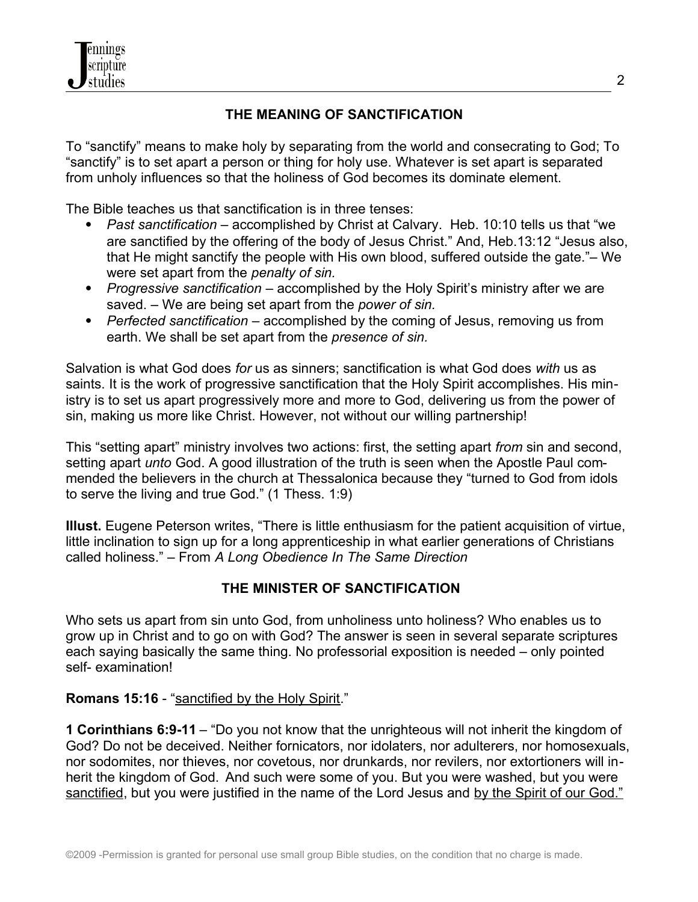

### **THE MEANING OF SANCTIFICATION**

To "sanctify" means to make holy by separating from the world and consecrating to God; To "sanctify" is to set apart a person or thing for holy use. Whatever is set apart is separated from unholy influences so that the holiness of God becomes its dominate element.

The Bible teaches us that sanctification is in three tenses:

- *Past sanctification* accomplished by Christ at Calvary. Heb. 10:10 tells us that "we are sanctified by the offering of the body of Jesus Christ." And, Heb.13:12 "Jesus also, that He might sanctify the people with His own blood, suffered outside the gate."– We were set apart from the *penalty of sin.*
- *Progressive sanctification* accomplished by the Holy Spirit's ministry after we are saved. – We are being set apart from the *power of sin.*
- *Perfected sanctification* accomplished by the coming of Jesus, removing us from earth. We shall be set apart from the *presence of sin.*

Salvation is what God does *for* us as sinners; sanctification is what God does *with* us as saints. It is the work of progressive sanctification that the Holy Spirit accomplishes. His ministry is to set us apart progressively more and more to God, delivering us from the power of sin, making us more like Christ. However, not without our willing partnership!

This "setting apart" ministry involves two actions: first, the setting apart *from* sin and second, setting apart *unto* God. A good illustration of the truth is seen when the Apostle Paul commended the believers in the church at Thessalonica because they "turned to God from idols to serve the living and true God." (1 Thess. 1:9)

**Illust.** Eugene Peterson writes, "There is little enthusiasm for the patient acquisition of virtue, little inclination to sign up for a long apprenticeship in what earlier generations of Christians called holiness." – From *A Long Obedience In The Same Direction*

#### **THE MINISTER OF SANCTIFICATION**

Who sets us apart from sin unto God, from unholiness unto holiness? Who enables us to grow up in Christ and to go on with God? The answer is seen in several separate scriptures each saying basically the same thing. No professorial exposition is needed – only pointed self- examination!

#### Romans 15:16 - "sanctified by the Holy Spirit."

**1 Corinthians 6:9-11** – "Do you not know that the unrighteous will not inherit the kingdom of God? Do not be deceived. Neither fornicators, nor idolaters, nor adulterers, nor homosexuals, nor sodomites, nor thieves, nor covetous, nor drunkards, nor revilers, nor extortioners will inherit the kingdom of God. And such were some of you. But you were washed, but you were sanctified, but you were justified in the name of the Lord Jesus and by the Spirit of our God."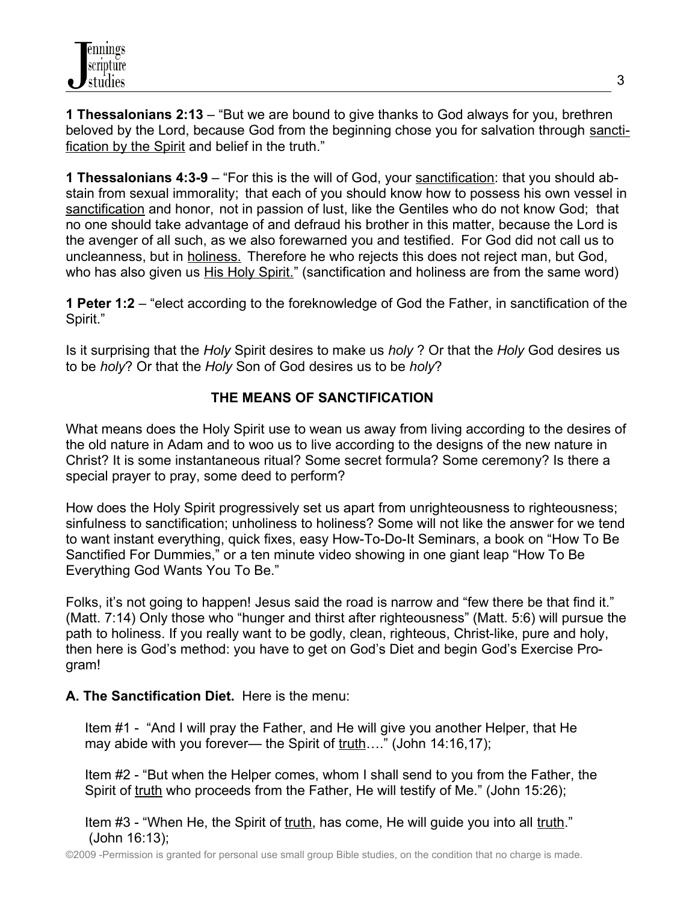**1 Thessalonians 2:13** – "But we are bound to give thanks to God always for you, brethren beloved by the Lord, because God from the beginning chose you for salvation through sanctification by the Spirit and belief in the truth."

**1 Thessalonians 4:3-9** – "For this is the will of God, your sanctification: that you should abstain from sexual immorality; that each of you should know how to possess his own vessel in sanctification and honor, not in passion of lust, like the Gentiles who do not know God; that no one should take advantage of and defraud his brother in this matter, because the Lord is the avenger of all such, as we also forewarned you and testified. For God did not call us to uncleanness, but in holiness. Therefore he who rejects this does not reject man, but God, who has also given us His Holy Spirit." (sanctification and holiness are from the same word)

**1 Peter 1:2** – "elect according to the foreknowledge of God the Father, in sanctification of the Spirit."

Is it surprising that the *Holy* Spirit desires to make us *holy* ? Or that the *Holy* God desires us to be *holy*? Or that the *Holy* Son of God desires us to be *holy*?

# **THE MEANS OF SANCTIFICATION**

What means does the Holy Spirit use to wean us away from living according to the desires of the old nature in Adam and to woo us to live according to the designs of the new nature in Christ? It is some instantaneous ritual? Some secret formula? Some ceremony? Is there a special prayer to pray, some deed to perform?

How does the Holy Spirit progressively set us apart from unrighteousness to righteousness; sinfulness to sanctification; unholiness to holiness? Some will not like the answer for we tend to want instant everything, quick fixes, easy How-To-Do-It Seminars, a book on "How To Be Sanctified For Dummies," or a ten minute video showing in one giant leap "How To Be Everything God Wants You To Be."

Folks, it's not going to happen! Jesus said the road is narrow and "few there be that find it." (Matt. 7:14) Only those who "hunger and thirst after righteousness" (Matt. 5:6) will pursue the path to holiness. If you really want to be godly, clean, righteous, Christ-like, pure and holy, then here is God's method: you have to get on God's Diet and begin God's Exercise Program!

## **A. The Sanctification Diet.** Here is the menu:

 Item #1 - "And I will pray the Father, and He will give you another Helper, that He may abide with you forever— the Spirit of  $truth...$ " (John 14:16,17);</u>

 Item #2 - "But when the Helper comes, whom I shall send to you from the Father, the Spirit of truth who proceeds from the Father, He will testify of Me." (John 15:26);

 Item #3 - "When He, the Spirit of truth, has come, He will guide you into all truth." (John 16:13);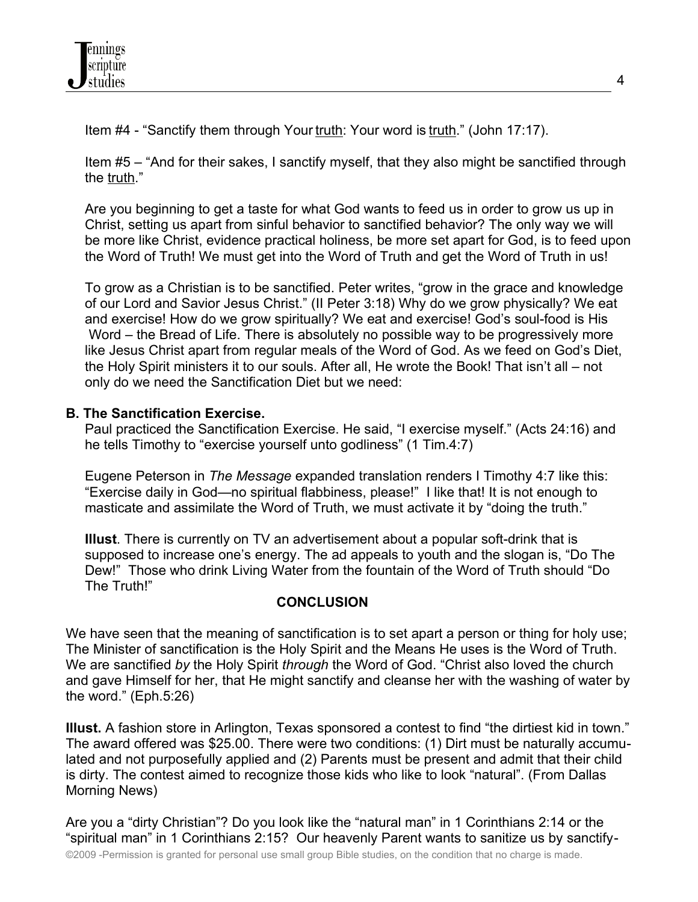Item #4 - "Sanctify them through Your truth: Your word is truth." (John 17:17).

 Item #5 – "And for their sakes, I sanctify myself, that they also might be sanctified through the truth."

 Are you beginning to get a taste for what God wants to feed us in order to grow us up in Christ, setting us apart from sinful behavior to sanctified behavior? The only way we will be more like Christ, evidence practical holiness, be more set apart for God, is to feed upon the Word of Truth! We must get into the Word of Truth and get the Word of Truth in us!

 To grow as a Christian is to be sanctified. Peter writes, "grow in the grace and knowledge of our Lord and Savior Jesus Christ." (II Peter 3:18) Why do we grow physically? We eat and exercise! How do we grow spiritually? We eat and exercise! God's soul-food is His Word – the Bread of Life. There is absolutely no possible way to be progressively more like Jesus Christ apart from regular meals of the Word of God. As we feed on God's Diet, the Holy Spirit ministers it to our souls. After all, He wrote the Book! That isn't all – not only do we need the Sanctification Diet but we need:

## **B. The Sanctification Exercise.**

 Paul practiced the Sanctification Exercise. He said, "I exercise myself." (Acts 24:16) and he tells Timothy to "exercise yourself unto godliness" (1 Tim.4:7)

 Eugene Peterson in *The Message* expanded translation renders I Timothy 4:7 like this: "Exercise daily in God—no spiritual flabbiness, please!" I like that! It is not enough to masticate and assimilate the Word of Truth, we must activate it by "doing the truth."

 **Illust**. There is currently on TV an advertisement about a popular soft-drink that is supposed to increase one's energy. The ad appeals to youth and the slogan is, "Do The Dew!" Those who drink Living Water from the fountain of the Word of Truth should "Do The Truth!"

## **CONCLUSION**

We have seen that the meaning of sanctification is to set apart a person or thing for holy use; The Minister of sanctification is the Holy Spirit and the Means He uses is the Word of Truth. We are sanctified *by* the Holy Spirit *through* the Word of God. "Christ also loved the church and gave Himself for her, that He might sanctify and cleanse her with the washing of water by the word." (Eph.5:26)

**Illust.** A fashion store in Arlington, Texas sponsored a contest to find "the dirtiest kid in town." The award offered was \$25.00. There were two conditions: (1) Dirt must be naturally accumulated and not purposefully applied and (2) Parents must be present and admit that their child is dirty. The contest aimed to recognize those kids who like to look "natural". (From Dallas Morning News)

Are you a "dirty Christian"? Do you look like the "natural man" in 1 Corinthians 2:14 or the "spiritual man" in 1 Corinthians 2:15? Our heavenly Parent wants to sanitize us by sanctify-